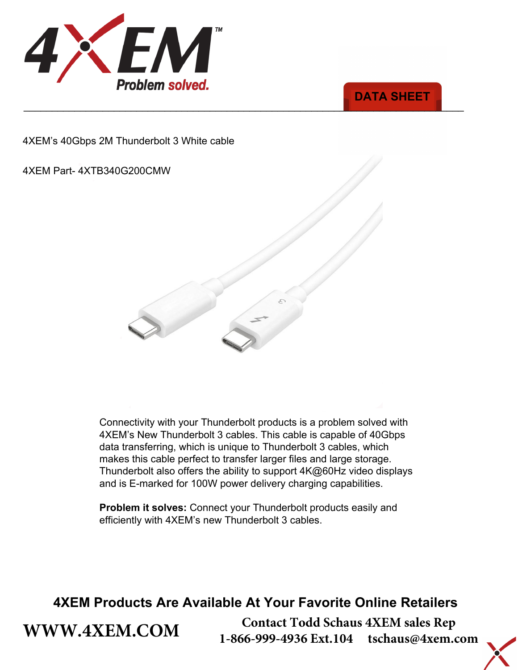



4XEM's 40Gbps 2M Thunderbolt 3 White cable

#### 4XEM Part- 4XTB340G200CMW

**[WWW.4XEM.COM](www.4xem.com)** 



Connectivity with your Thunderbolt products is a problem solved with 4XEM's New Thunderbolt 3 cables. This cable is capable of 40Gbps data transferring, which is unique to Thunderbolt 3 cables, which makes this cable perfect to transfer larger files and large storage. Thunderbolt also offers the ability to support 4K@60Hz video displays and is E-marked for 100W power delivery charging capabilities.

**Problem it solves:** Connect your Thunderbolt products easily and efficiently with 4XEM's new Thunderbolt 3 cables.

### **4XEM Products Are Available At Your Favorite Online Retailers**

**Contact Todd Schaus 4XEM sales Rep 1-866-999-4936 Ext.104 tschaus@4xem.com**

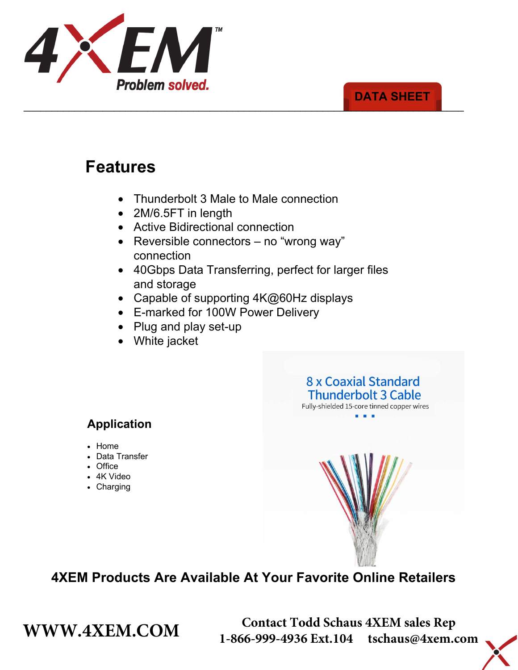

#### \_\_\_\_\_\_\_\_\_\_\_\_\_\_\_\_\_\_\_\_\_\_\_\_\_\_\_\_\_\_\_\_\_\_\_\_\_\_\_\_\_\_\_\_\_\_\_\_\_\_\_\_\_\_\_\_\_\_\_\_\_\_\_\_\_\_\_\_\_\_\_\_\_\_\_\_\_\_ **DATA SHEET**

# **Features**

- Thunderbolt 3 Male to Male connection
- 2M/6.5FT in length
- Active Bidirectional connection
- Reversible connectors no "wrong way" connection
- 40Gbps Data Transferring, perfect for larger files and storage
- Capable of supporting 4K@60Hz displays
- E-marked for 100W Power Delivery
- Plug and play set-up
- White jacket

#### 8 x Coaxial Standard **Thunderbolt 3 Cable** Fully-shielded 15-core tinned copper wires

### **Application**

- Home
- Data Transfer
- Office
- 4K Video
- Charging



### **4XEM Products Are Available At Your Favorite Online Retailers**

**WWW.4XEM.COM** <sup>Contact Todd Schaus 4XEM sales Rep<br>1-866-999-4936 Ext.104 tschaus@4xem.com</sup> 1-866-999-4936 Ext.104